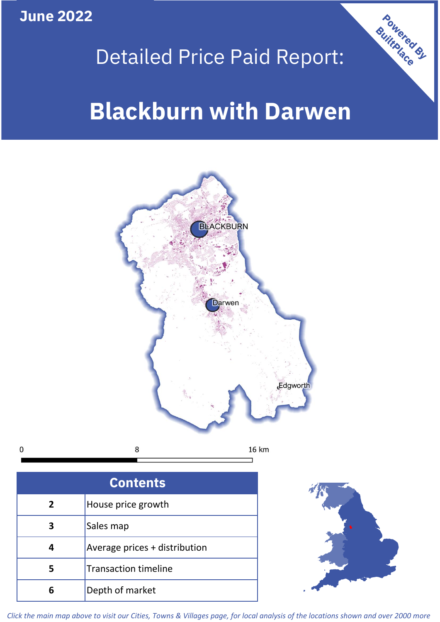**June 2022**

 $\mathbf 0$ 

## Detailed Price Paid Report:

# **Blackburn with Darwen**



| <b>Contents</b> |                               |  |  |
|-----------------|-------------------------------|--|--|
| $\overline{2}$  | House price growth            |  |  |
| 3               | Sales map                     |  |  |
|                 | Average prices + distribution |  |  |
|                 | <b>Transaction timeline</b>   |  |  |
| ĥ               | Depth of market               |  |  |



Powered By

*Click the main map above to visit our Cities, Towns & Villages page, for local analysis of the locations shown and over 2000 more*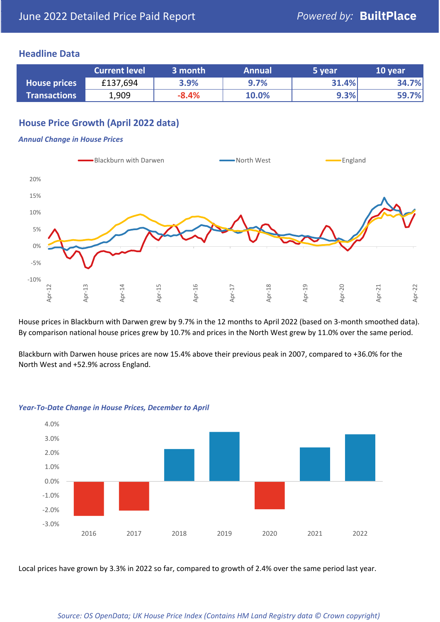### **Headline Data**

|                     | <b>Current level</b> | 3 month | <b>Annual</b> | 5 year | 10 year |
|---------------------|----------------------|---------|---------------|--------|---------|
| <b>House prices</b> | £137,694             | 3.9%    | 9.7%          | 31.4%  | 34.7%   |
| <b>Transactions</b> | 1,909                | $-8.4%$ | 10.0%         | 9.3%   | 59.7%   |

## **House Price Growth (April 2022 data)**

#### *Annual Change in House Prices*



House prices in Blackburn with Darwen grew by 9.7% in the 12 months to April 2022 (based on 3-month smoothed data). By comparison national house prices grew by 10.7% and prices in the North West grew by 11.0% over the same period.

Blackburn with Darwen house prices are now 15.4% above their previous peak in 2007, compared to +36.0% for the North West and +52.9% across England.



#### *Year-To-Date Change in House Prices, December to April*

Local prices have grown by 3.3% in 2022 so far, compared to growth of 2.4% over the same period last year.

#### *Source: OS OpenData; UK House Price Index (Contains HM Land Registry data © Crown copyright)*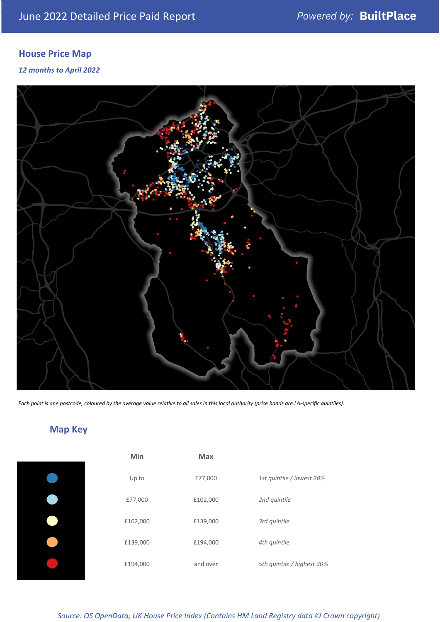## **House Price Map**

#### *12 months to April 2022*



*Each point is one postcode, coloured by the average value relative to all sales in this local authority (price bands are LA-specific quintiles).*

## **Map Key**

| Min      | Max      |                            |
|----------|----------|----------------------------|
| Up to    | £77,000  | 1st quintile / lowest 20%  |
| £77,000  | £102,000 | 2nd quintile               |
| £102,000 | £139,000 | 3rd quintile               |
| £139,000 | £194,000 | 4th quintile               |
| £194,000 | and over | 5th quintile / highest 20% |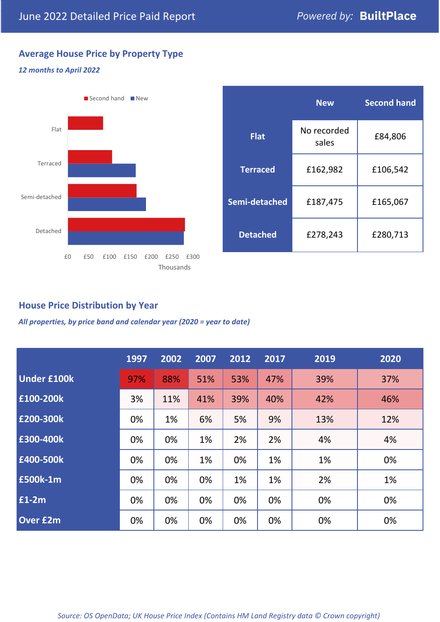## **Average House Price by Property Type**

## *12 months to April 2022*



|                 | <b>New</b>           | <b>Second hand</b> |  |  |
|-----------------|----------------------|--------------------|--|--|
| <b>Flat</b>     | No recorded<br>sales | £84,806            |  |  |
| <b>Terraced</b> | £162,982             | £106,542           |  |  |
| Semi-detached   | £187,475             | £165,067           |  |  |
| <b>Detached</b> | £278,243             | £280,713           |  |  |

## **House Price Distribution by Year**

*All properties, by price band and calendar year (2020 = year to date)*

|                    | 1997 | 2002 | 2007 | 2012 | 2017 | 2019 | 2020 |
|--------------------|------|------|------|------|------|------|------|
| <b>Under £100k</b> | 97%  | 88%  | 51%  | 53%  | 47%  | 39%  | 37%  |
| £100-200k          | 3%   | 11%  | 41%  | 39%  | 40%  | 42%  | 46%  |
| £200-300k          | 0%   | 1%   | 6%   | 5%   | 9%   | 13%  | 12%  |
| £300-400k          | 0%   | 0%   | 1%   | 2%   | 2%   | 4%   | 4%   |
| £400-500k          | 0%   | 0%   | 1%   | 0%   | 1%   | 1%   | 0%   |
| £500k-1m           | 0%   | 0%   | 0%   | 1%   | 1%   | 2%   | 1%   |
| £1-2m              | 0%   | 0%   | 0%   | 0%   | 0%   | 0%   | 0%   |
| <b>Over £2m</b>    | 0%   | 0%   | 0%   | 0%   | 0%   | 0%   | 0%   |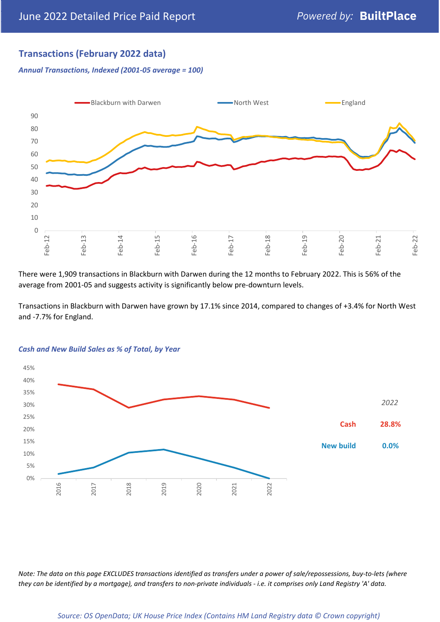## **Transactions (February 2022 data)**

*Annual Transactions, Indexed (2001-05 average = 100)*



There were 1,909 transactions in Blackburn with Darwen during the 12 months to February 2022. This is 56% of the average from 2001-05 and suggests activity is significantly below pre-downturn levels.

Transactions in Blackburn with Darwen have grown by 17.1% since 2014, compared to changes of +3.4% for North West and -7.7% for England.



#### *Cash and New Build Sales as % of Total, by Year*

*Note: The data on this page EXCLUDES transactions identified as transfers under a power of sale/repossessions, buy-to-lets (where they can be identified by a mortgage), and transfers to non-private individuals - i.e. it comprises only Land Registry 'A' data.*